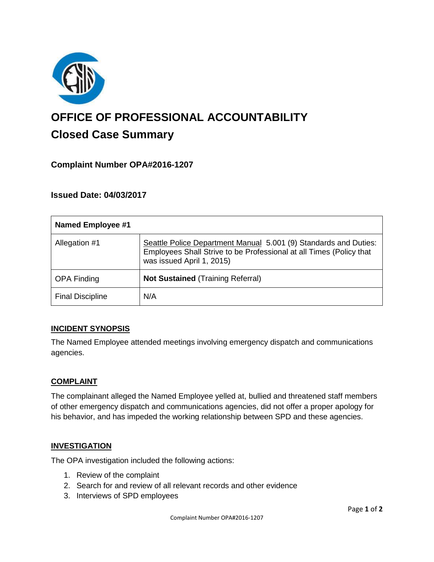

# **OFFICE OF PROFESSIONAL ACCOUNTABILITY Closed Case Summary**

# **Complaint Number OPA#2016-1207**

## **Issued Date: 04/03/2017**

| <b>Named Employee #1</b> |                                                                                                                                                                      |
|--------------------------|----------------------------------------------------------------------------------------------------------------------------------------------------------------------|
| Allegation #1            | Seattle Police Department Manual 5.001 (9) Standards and Duties:<br>Employees Shall Strive to be Professional at all Times (Policy that<br>was issued April 1, 2015) |
| <b>OPA Finding</b>       | <b>Not Sustained (Training Referral)</b>                                                                                                                             |
| <b>Final Discipline</b>  | N/A                                                                                                                                                                  |

### **INCIDENT SYNOPSIS**

The Named Employee attended meetings involving emergency dispatch and communications agencies.

#### **COMPLAINT**

The complainant alleged the Named Employee yelled at, bullied and threatened staff members of other emergency dispatch and communications agencies, did not offer a proper apology for his behavior, and has impeded the working relationship between SPD and these agencies.

#### **INVESTIGATION**

The OPA investigation included the following actions:

- 1. Review of the complaint
- 2. Search for and review of all relevant records and other evidence
- 3. Interviews of SPD employees